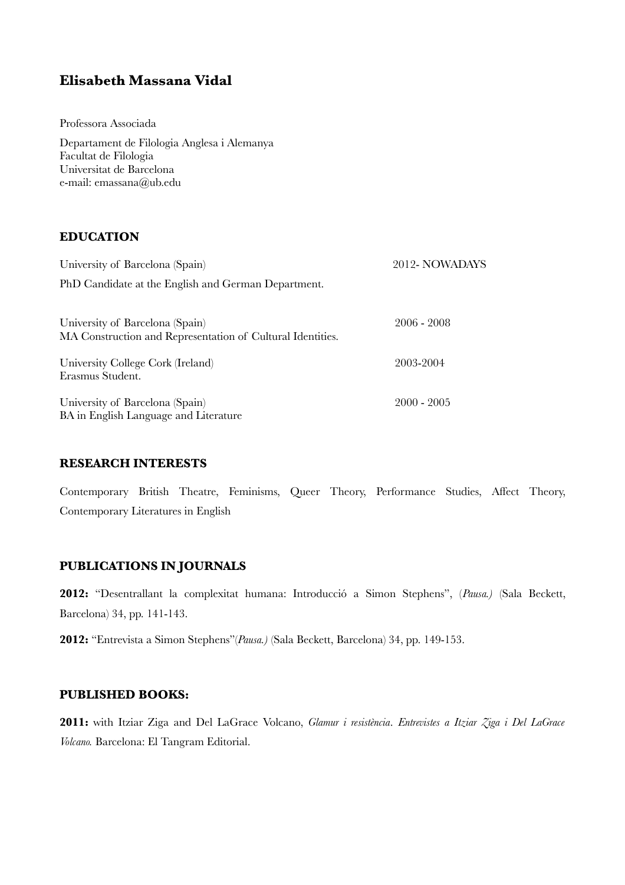# **Elisabeth Massana Vidal**

Professora Associada

Departament de Filologia Anglesa i Alemanya Facultat de Filologia Universitat de Barcelona e-mail: emassana@ub.edu

## **EDUCATION**

| University of Barcelona (Spain)                                                               | 2012-NOWADAYS |
|-----------------------------------------------------------------------------------------------|---------------|
| PhD Candidate at the English and German Department.                                           |               |
| University of Barcelona (Spain)<br>MA Construction and Representation of Cultural Identities. | $2006 - 2008$ |
| University College Cork (Ireland)<br>Erasmus Student.                                         | 2003-2004     |
| University of Barcelona (Spain)<br>BA in English Language and Literature                      | $2000 - 2005$ |

## **RESEARCH INTERESTS**

Contemporary British Theatre, Feminisms, Queer Theory, Performance Studies, Affect Theory, Contemporary Literatures in English

## **PUBLICATIONS IN JOURNALS**

**2012:** "Desentrallant la complexitat humana: Introducció a Simon Stephens", (*Pausa.)* (Sala Beckett, Barcelona) 34, pp. 141-143.

**2012:** "Entrevista a Simon Stephens"(*Pausa.)* (Sala Beckett, Barcelona) 34, pp. 149-153.

## **PUBLISHED BOOKS:**

**2011:** with Itziar Ziga and Del LaGrace Volcano, *Glamur i resistència*. *Entrevistes a Itziar Ziga i Del LaGrace Volcano.* Barcelona: El Tangram Editorial.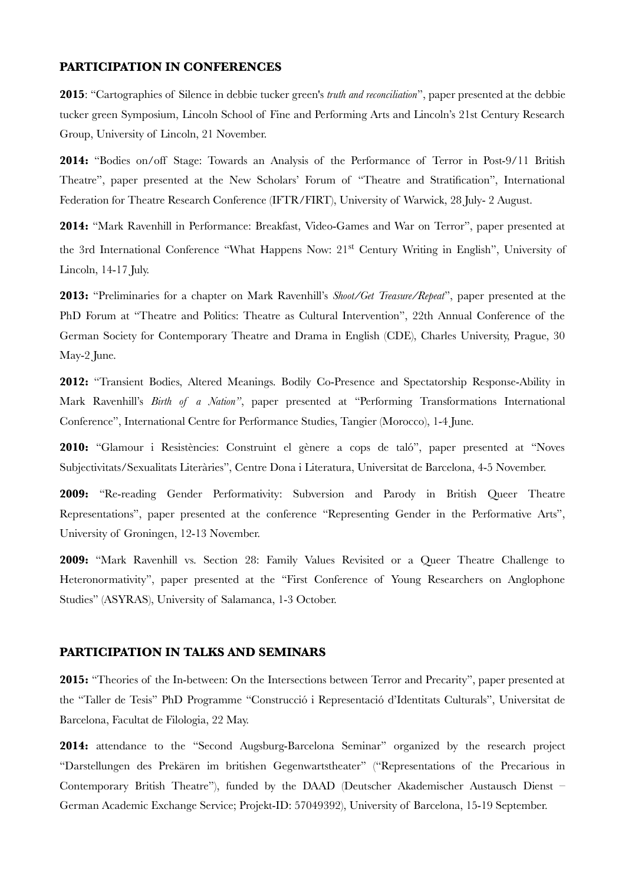#### **PARTICIPATION IN CONFERENCES**

**2015**: "Cartographies of Silence in debbie tucker green's *truth and reconciliation*", paper presented at the debbie tucker green Symposium, Lincoln School of Fine and Performing Arts and Lincoln's 21st Century Research Group, University of Lincoln, 21 November.

**2014:** "Bodies on/off Stage: Towards an Analysis of the Performance of Terror in Post-9/11 British Theatre", paper presented at the New Scholars' Forum of "Theatre and Stratifcation", International Federation for Theatre Research Conference (IFTR/FIRT), University of Warwick, 28 July- 2 August.

**2014:** "Mark Ravenhill in Performance: Breakfast, Video-Games and War on Terror", paper presented at the 3rd International Conference "What Happens Now: 21st Century Writing in English", University of Lincoln, 14-17 July.

**2013:** "Preliminaries for a chapter on Mark Ravenhill's *Shoot/Get Treasure/Repeat*", paper presented at the PhD Forum at "Theatre and Politics: Theatre as Cultural Intervention", 22th Annual Conference of the German Society for Contemporary Theatre and Drama in English (CDE), Charles University, Prague, 30 May-2 June.

**2012:** "Transient Bodies, Altered Meanings. Bodily Co-Presence and Spectatorship Response-Ability in Mark Ravenhill's *Birth of a Nation"*, paper presented at "Performing Transformations International Conference", International Centre for Performance Studies, Tangier (Morocco), 1-4 June.

**2010:** "Glamour i Resistències: Construint el gènere a cops de taló", paper presented at "Noves Subjectivitats/Sexualitats Literàries", Centre Dona i Literatura, Universitat de Barcelona, 4-5 November.

**2009:** "Re-reading Gender Performativity: Subversion and Parody in British Queer Theatre Representations", paper presented at the conference "Representing Gender in the Performative Arts", University of Groningen, 12-13 November.

**2009:** "Mark Ravenhill vs. Section 28: Family Values Revisited or a Queer Theatre Challenge to Heteronormativity", paper presented at the "First Conference of Young Researchers on Anglophone Studies" (ASYRAS), University of Salamanca, 1-3 October.

#### **PARTICIPATION IN TALKS AND SEMINARS**

**2015:** "Theories of the In-between: On the Intersections between Terror and Precarity", paper presented at the "Taller de Tesis" PhD Programme "Construcció i Representació d'Identitats Culturals", Universitat de Barcelona, Facultat de Filologia, 22 May.

**2014:** attendance to the "Second Augsburg-Barcelona Seminar" organized by the research project "Darstellungen des Prekären im britishen Gegenwartstheater" ("Representations of the Precarious in Contemporary British Theatre"), funded by the DAAD (Deutscher Akademischer Austausch Dienst – German Academic Exchange Service; Projekt-ID: 57049392), University of Barcelona, 15-19 September.